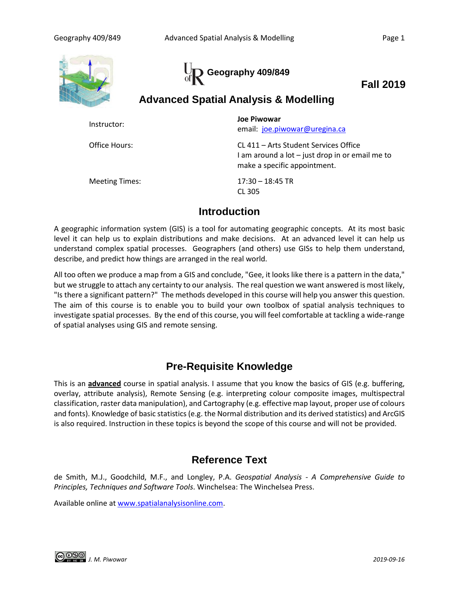



**Fall 2019**

# **Advanced Spatial Analysis & Modelling**

| Instructor:    | Joe Piwowar<br>email: joe.piwowar@uregina.ca                                                                             |
|----------------|--------------------------------------------------------------------------------------------------------------------------|
| Office Hours:  | CL 411 – Arts Student Services Office<br>I am around a lot - just drop in or email me to<br>make a specific appointment. |
| Meeting Times: | $17:30 - 18:45$ TR<br>CL 305                                                                                             |

# **Introduction**

A geographic information system (GIS) is a tool for automating geographic concepts. At its most basic level it can help us to explain distributions and make decisions. At an advanced level it can help us understand complex spatial processes. Geographers (and others) use GISs to help them understand, describe, and predict how things are arranged in the real world.

All too often we produce a map from a GIS and conclude, "Gee, it looks like there is a pattern in the data," but we struggle to attach any certainty to our analysis. The real question we want answered is most likely, "Is there a significant pattern?" The methods developed in this course will help you answer this question. The aim of this course is to enable you to build your own toolbox of spatial analysis techniques to investigate spatial processes. By the end of this course, you will feel comfortable at tackling a wide-range of spatial analyses using GIS and remote sensing.

# **Pre-Requisite Knowledge**

This is an **advanced** course in spatial analysis. I assume that you know the basics of GIS (e.g. buffering, overlay, attribute analysis), Remote Sensing (e.g. interpreting colour composite images, multispectral classification, raster data manipulation), and Cartography (e.g. effective map layout, proper use of colours and fonts). Knowledge of basic statistics (e.g. the Normal distribution and its derived statistics) and ArcGIS is also required. Instruction in these topics is beyond the scope of this course and will not be provided.

# **Reference Text**

de Smith, M.J., Goodchild, M.F., and Longley, P.A. *Geospatial Analysis - A Comprehensive Guide to Principles, Techniques and Software Tools*. Winchelsea: The Winchelsea Press.

Available online at [www.spatialanalysisonline.com.](http://www.spatialanalysisonline.com/)

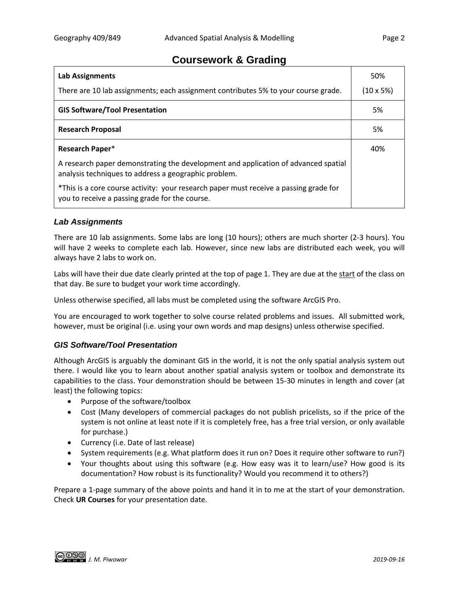## **Coursework & Grading**

| <b>Lab Assignments</b>                                                                                                                     | 50%               |
|--------------------------------------------------------------------------------------------------------------------------------------------|-------------------|
| There are 10 lab assignments; each assignment contributes 5% to your course grade.                                                         | $(10 \times 5\%)$ |
| <b>GIS Software/Tool Presentation</b>                                                                                                      | 5%                |
| <b>Research Proposal</b>                                                                                                                   | 5%                |
| Research Paper*                                                                                                                            | 40%               |
| A research paper demonstrating the development and application of advanced spatial<br>analysis techniques to address a geographic problem. |                   |
| *This is a core course activity: your research paper must receive a passing grade for<br>you to receive a passing grade for the course.    |                   |

## *Lab Assignments*

There are 10 lab assignments. Some labs are long (10 hours); others are much shorter (2-3 hours). You will have 2 weeks to complete each lab. However, since new labs are distributed each week, you will always have 2 labs to work on.

Labs will have their due date clearly printed at the top of page 1. They are due at the start of the class on that day. Be sure to budget your work time accordingly.

Unless otherwise specified, all labs must be completed using the software ArcGIS Pro.

You are encouraged to work together to solve course related problems and issues. All submitted work, however, must be original (i.e. using your own words and map designs) unless otherwise specified.

## *GIS Software/Tool Presentation*

Although ArcGIS is arguably the dominant GIS in the world, it is not the only spatial analysis system out there. I would like you to learn about another spatial analysis system or toolbox and demonstrate its capabilities to the class. Your demonstration should be between 15-30 minutes in length and cover (at least) the following topics:

- Purpose of the software/toolbox
- Cost (Many developers of commercial packages do not publish pricelists, so if the price of the system is not online at least note if it is completely free, has a free trial version, or only available for purchase.)
- Currency (i.e. Date of last release)
- System requirements (e.g. What platform does it run on? Does it require other software to run?)
- Your thoughts about using this software (e.g. How easy was it to learn/use? How good is its documentation? How robust is its functionality? Would you recommend it to others?)

Prepare a 1-page summary of the above points and hand it in to me at the start of your demonstration. Check **UR Courses** for your presentation date.

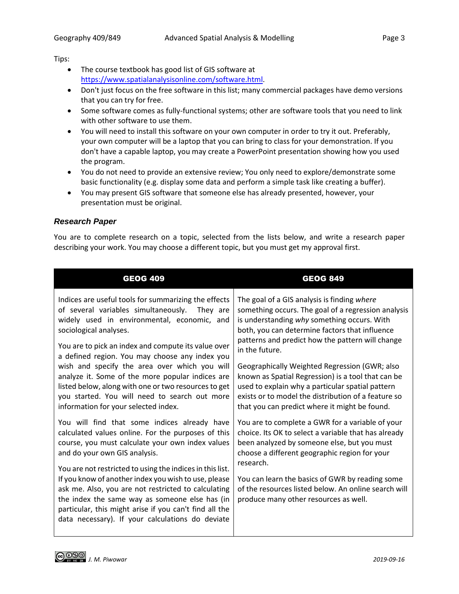Tips:

- The course textbook has good list of GIS software at [https://www.spatialanalysisonline.com/software.html.](https://www.spatialanalysisonline.com/software.html)
- Don't just focus on the free software in this list; many commercial packages have demo versions that you can try for free.
- Some software comes as fully-functional systems; other are software tools that you need to link with other software to use them.
- You will need to install this software on your own computer in order to try it out. Preferably, your own computer will be a laptop that you can bring to class for your demonstration. If you don't have a capable laptop, you may create a PowerPoint presentation showing how you used the program.
- You do not need to provide an extensive review; You only need to explore/demonstrate some basic functionality (e.g. display some data and perform a simple task like creating a buffer).
- You may present GIS software that someone else has already presented, however, your presentation must be original.

### *Research Paper*

You are to complete research on a topic, selected from the lists below, and write a research paper describing your work. You may choose a different topic, but you must get my approval first.

| <b>GEOG 409</b>                                                                                                                                                                                                                                                                                                                                                                                                                                                                                                                                  | <b>GEOG 849</b>                                                                                                                                                                                                                                                                                                                                                                                                                                                                                                                              |
|--------------------------------------------------------------------------------------------------------------------------------------------------------------------------------------------------------------------------------------------------------------------------------------------------------------------------------------------------------------------------------------------------------------------------------------------------------------------------------------------------------------------------------------------------|----------------------------------------------------------------------------------------------------------------------------------------------------------------------------------------------------------------------------------------------------------------------------------------------------------------------------------------------------------------------------------------------------------------------------------------------------------------------------------------------------------------------------------------------|
| Indices are useful tools for summarizing the effects<br>of several variables simultaneously.<br>They are<br>widely used in environmental, economic, and<br>sociological analyses.<br>You are to pick an index and compute its value over<br>a defined region. You may choose any index you<br>wish and specify the area over which you will<br>analyze it. Some of the more popular indices are<br>listed below, along with one or two resources to get<br>you started. You will need to search out more<br>information for your selected index. | The goal of a GIS analysis is finding where<br>something occurs. The goal of a regression analysis<br>is understanding why something occurs. With<br>both, you can determine factors that influence<br>patterns and predict how the pattern will change<br>in the future.<br>Geographically Weighted Regression (GWR; also<br>known as Spatial Regression) is a tool that can be<br>used to explain why a particular spatial pattern<br>exists or to model the distribution of a feature so<br>that you can predict where it might be found. |
| You will find that some indices already have<br>calculated values online. For the purposes of this<br>course, you must calculate your own index values<br>and do your own GIS analysis.<br>You are not restricted to using the indices in this list.<br>If you know of another index you wish to use, please<br>ask me. Also, you are not restricted to calculating<br>the index the same way as someone else has (in<br>particular, this might arise if you can't find all the<br>data necessary). If your calculations do deviate              | You are to complete a GWR for a variable of your<br>choice. Its OK to select a variable that has already<br>been analyzed by someone else, but you must<br>choose a different geographic region for your<br>research.<br>You can learn the basics of GWR by reading some<br>of the resources listed below. An online search will<br>produce many other resources as well.                                                                                                                                                                    |

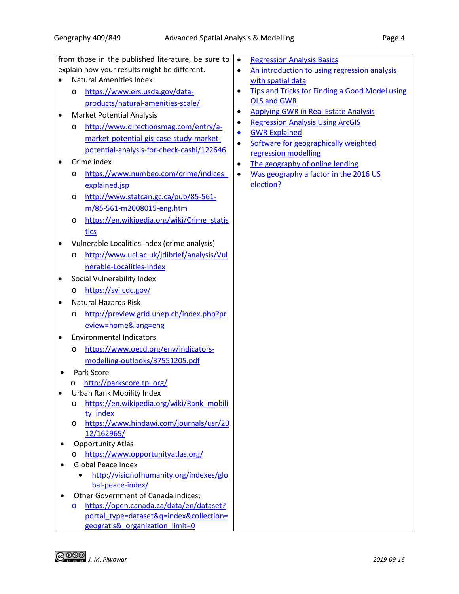|                                              | from those in the published literature, be sure to         | <b>Regression Analysis Basics</b><br>$\bullet$                       |  |  |
|----------------------------------------------|------------------------------------------------------------|----------------------------------------------------------------------|--|--|
|                                              | explain how your results might be different.               | An introduction to using regression analysis<br>$\bullet$            |  |  |
| <b>Natural Amenities Index</b>               |                                                            | with spatial data                                                    |  |  |
|                                              | https://www.ers.usda.gov/data-<br>O                        | <b>Tips and Tricks for Finding a Good Model using</b><br>$\bullet$   |  |  |
|                                              | products/natural-amenities-scale/                          | <b>OLS and GWR</b>                                                   |  |  |
|                                              | <b>Market Potential Analysis</b>                           | <b>Applying GWR in Real Estate Analysis</b><br>٠                     |  |  |
|                                              | http://www.directionsmag.com/entry/a-<br>O                 | <b>Regression Analysis Using ArcGIS</b><br>٠                         |  |  |
|                                              | market-potential-gis-case-study-market-                    | <b>GWR Explained</b><br>$\bullet$                                    |  |  |
|                                              | potential-analysis-for-check-cashi/122646                  | Software for geographically weighted<br>$\bullet$                    |  |  |
|                                              | Crime index                                                | regression modelling<br>The geography of online lending<br>$\bullet$ |  |  |
|                                              | https://www.numbeo.com/crime/indices<br>O                  | Was geography a factor in the 2016 US<br>$\bullet$                   |  |  |
|                                              | explained.jsp                                              | election?                                                            |  |  |
|                                              | http://www.statcan.gc.ca/pub/85-561-<br>O                  |                                                                      |  |  |
|                                              | m/85-561-m2008015-eng.htm                                  |                                                                      |  |  |
|                                              | https://en.wikipedia.org/wiki/Crime_statis                 |                                                                      |  |  |
|                                              | O                                                          |                                                                      |  |  |
|                                              | tics                                                       |                                                                      |  |  |
|                                              | Vulnerable Localities Index (crime analysis)               |                                                                      |  |  |
|                                              | http://www.ucl.ac.uk/jdibrief/analysis/Vul<br>O            |                                                                      |  |  |
|                                              | nerable-Localities-Index                                   |                                                                      |  |  |
|                                              | Social Vulnerability Index                                 |                                                                      |  |  |
|                                              | https://svi.cdc.gov/<br>O                                  |                                                                      |  |  |
|                                              | <b>Natural Hazards Risk</b>                                |                                                                      |  |  |
|                                              | http://preview.grid.unep.ch/index.php?pr<br>O              |                                                                      |  |  |
|                                              | eview=home⟨=eng                                            |                                                                      |  |  |
|                                              | <b>Environmental Indicators</b>                            |                                                                      |  |  |
|                                              | https://www.oecd.org/env/indicators-<br>O                  |                                                                      |  |  |
|                                              | modelling-outlooks/37551205.pdf                            |                                                                      |  |  |
|                                              | Park Score                                                 |                                                                      |  |  |
|                                              | http://parkscore.tpl.org/<br>O                             |                                                                      |  |  |
|                                              | <b>Urban Rank Mobility Index</b>                           |                                                                      |  |  |
|                                              | https://en.wikipedia.org/wiki/Rank mobili<br>O             |                                                                      |  |  |
|                                              | ty index                                                   |                                                                      |  |  |
|                                              | https://www.hindawi.com/journals/usr/20<br>O<br>12/162965/ |                                                                      |  |  |
| <b>Opportunity Atlas</b>                     |                                                            |                                                                      |  |  |
|                                              | https://www.opportunityatlas.org/<br>O                     |                                                                      |  |  |
|                                              | <b>Global Peace Index</b>                                  |                                                                      |  |  |
|                                              | http://visionofhumanity.org/indexes/glo                    |                                                                      |  |  |
|                                              | bal-peace-index/                                           |                                                                      |  |  |
|                                              | Other Government of Canada indices:                        |                                                                      |  |  |
| https://open.canada.ca/data/en/dataset?<br>O |                                                            |                                                                      |  |  |
|                                              | portal_type=dataset&q=index&collection=                    |                                                                      |  |  |
|                                              | geogratis& organization_limit=0                            |                                                                      |  |  |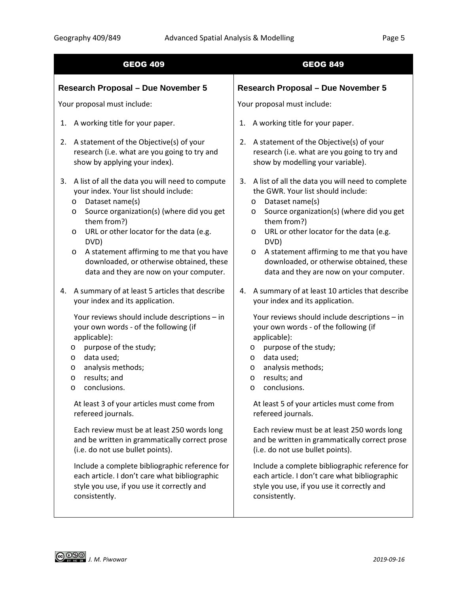| <b>GEOG 409</b>                                                                                                                                                                                                                                                                                                                                                                                                                                                                                                                                                                                                                                                                                                          | <b>GEOG 849</b>                                                                                                                                                                                                                                                                                                                                                                                                                                                                                                                                                                                                                                                                                                           |  |  |
|--------------------------------------------------------------------------------------------------------------------------------------------------------------------------------------------------------------------------------------------------------------------------------------------------------------------------------------------------------------------------------------------------------------------------------------------------------------------------------------------------------------------------------------------------------------------------------------------------------------------------------------------------------------------------------------------------------------------------|---------------------------------------------------------------------------------------------------------------------------------------------------------------------------------------------------------------------------------------------------------------------------------------------------------------------------------------------------------------------------------------------------------------------------------------------------------------------------------------------------------------------------------------------------------------------------------------------------------------------------------------------------------------------------------------------------------------------------|--|--|
| <b>Research Proposal - Due November 5</b>                                                                                                                                                                                                                                                                                                                                                                                                                                                                                                                                                                                                                                                                                | <b>Research Proposal - Due November 5</b>                                                                                                                                                                                                                                                                                                                                                                                                                                                                                                                                                                                                                                                                                 |  |  |
| Your proposal must include:                                                                                                                                                                                                                                                                                                                                                                                                                                                                                                                                                                                                                                                                                              | Your proposal must include:                                                                                                                                                                                                                                                                                                                                                                                                                                                                                                                                                                                                                                                                                               |  |  |
| A working title for your paper.<br>1.                                                                                                                                                                                                                                                                                                                                                                                                                                                                                                                                                                                                                                                                                    | A working title for your paper.<br>1.                                                                                                                                                                                                                                                                                                                                                                                                                                                                                                                                                                                                                                                                                     |  |  |
| A statement of the Objective(s) of your<br>2.<br>research (i.e. what are you going to try and<br>show by applying your index).                                                                                                                                                                                                                                                                                                                                                                                                                                                                                                                                                                                           | 2. A statement of the Objective(s) of your<br>research (i.e. what are you going to try and<br>show by modelling your variable).                                                                                                                                                                                                                                                                                                                                                                                                                                                                                                                                                                                           |  |  |
| A list of all the data you will need to compute<br>3.<br>your index. Your list should include:<br>Dataset name(s)<br>$\circ$<br>Source organization(s) (where did you get<br>$\circ$<br>them from?)<br>URL or other locator for the data (e.g.<br>$\circ$<br>DVD)<br>A statement affirming to me that you have<br>$\circ$<br>downloaded, or otherwise obtained, these<br>data and they are now on your computer.                                                                                                                                                                                                                                                                                                         | A list of all the data you will need to complete<br>3.<br>the GWR. Your list should include:<br>Dataset name(s)<br>O<br>Source organization(s) (where did you get<br>O<br>them from?)<br>URL or other locator for the data (e.g.<br>O<br>DVD)<br>A statement affirming to me that you have<br>$\circ$<br>downloaded, or otherwise obtained, these<br>data and they are now on your computer.                                                                                                                                                                                                                                                                                                                              |  |  |
| A summary of at least 5 articles that describe<br>4.<br>your index and its application.<br>Your reviews should include descriptions - in<br>your own words - of the following (if<br>applicable):<br>purpose of the study;<br>$\circ$<br>data used;<br>$\circ$<br>analysis methods;<br>$\circ$<br>results; and<br>$\circ$<br>conclusions.<br>O<br>At least 3 of your articles must come from<br>refereed journals.<br>Each review must be at least 250 words long<br>and be written in grammatically correct prose<br>(i.e. do not use bullet points).<br>Include a complete bibliographic reference for<br>each article. I don't care what bibliographic<br>style you use, if you use it correctly and<br>consistently. | A summary of at least 10 articles that describe<br>4.<br>your index and its application.<br>Your reviews should include descriptions - in<br>your own words - of the following (if<br>applicable):<br>purpose of the study;<br>$\circ$<br>data used;<br>$\circ$<br>analysis methods;<br>$\circ$<br>results; and<br>$\circ$<br>conclusions.<br>O<br>At least 5 of your articles must come from<br>refereed journals.<br>Each review must be at least 250 words long<br>and be written in grammatically correct prose<br>(i.e. do not use bullet points).<br>Include a complete bibliographic reference for<br>each article. I don't care what bibliographic<br>style you use, if you use it correctly and<br>consistently. |  |  |

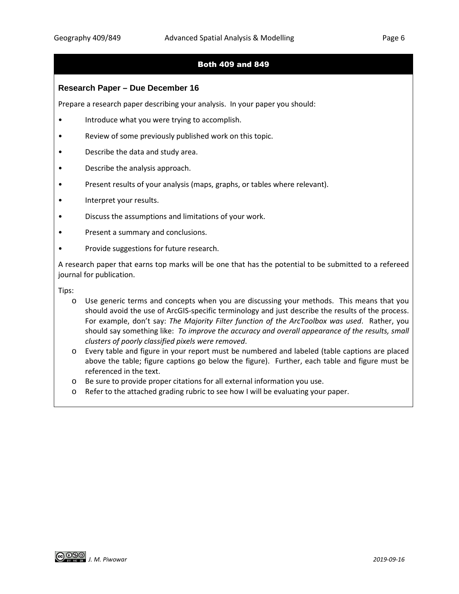## Both 409 and 849

### **Research Paper – Due December 16**

Prepare a research paper describing your analysis. In your paper you should:

- Introduce what you were trying to accomplish.
- Review of some previously published work on this topic.
- Describe the data and study area.
- Describe the analysis approach.
- Present results of your analysis (maps, graphs, or tables where relevant).
- Interpret your results.
- Discuss the assumptions and limitations of your work.
- Present a summary and conclusions.
- Provide suggestions for future research.

A research paper that earns top marks will be one that has the potential to be submitted to a refereed journal for publication.

Tips:

- o Use generic terms and concepts when you are discussing your methods. This means that you should avoid the use of ArcGIS-specific terminology and just describe the results of the process. For example, don't say: *The Majority Filter function of the ArcToolbox was used*. Rather, you should say something like: *To improve the accuracy and overall appearance of the results, small clusters of poorly classified pixels were removed*.
- o Every table and figure in your report must be numbered and labeled (table captions are placed above the table; figure captions go below the figure). Further, each table and figure must be referenced in the text.
- o Be sure to provide proper citations for all external information you use.
- o Refer to the attached grading rubric to see how I will be evaluating your paper.

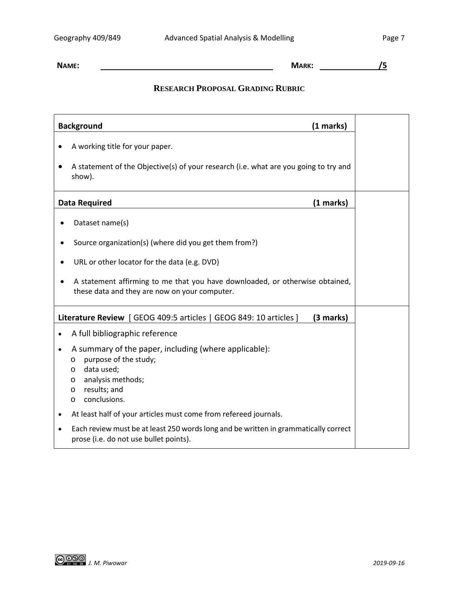**NAME: MARK: /5**

## **RESEARCH PROPOSAL GRADING RUBRIC**

| <b>Background</b><br>(1 marks)                                                                                                                                                                                        |  |  |
|-----------------------------------------------------------------------------------------------------------------------------------------------------------------------------------------------------------------------|--|--|
| A working title for your paper.                                                                                                                                                                                       |  |  |
| A statement of the Objective(s) of your research (i.e. what are you going to try and<br>show).                                                                                                                        |  |  |
| <b>Data Required</b><br>(1 marks)                                                                                                                                                                                     |  |  |
| Dataset name(s)                                                                                                                                                                                                       |  |  |
| Source organization(s) (where did you get them from?)                                                                                                                                                                 |  |  |
| URL or other locator for the data (e.g. DVD)                                                                                                                                                                          |  |  |
| A statement affirming to me that you have downloaded, or otherwise obtained,<br>these data and they are now on your computer.                                                                                         |  |  |
| Literature Review   GEOG 409:5 articles   GEOG 849: 10 articles  <br>(3 marks)                                                                                                                                        |  |  |
| A full bibliographic reference<br>$\bullet$                                                                                                                                                                           |  |  |
| A summary of the paper, including (where applicable):<br>$\bullet$<br>purpose of the study;<br>$\circ$<br>data used;<br>$\circ$<br>analysis methods;<br>$\circ$<br>results; and<br>$\circ$<br>conclusions.<br>$\circ$ |  |  |
| At least half of your articles must come from refereed journals.<br>$\bullet$                                                                                                                                         |  |  |
| Each review must be at least 250 words long and be written in grammatically correct<br>$\bullet$<br>prose (i.e. do not use bullet points).                                                                            |  |  |

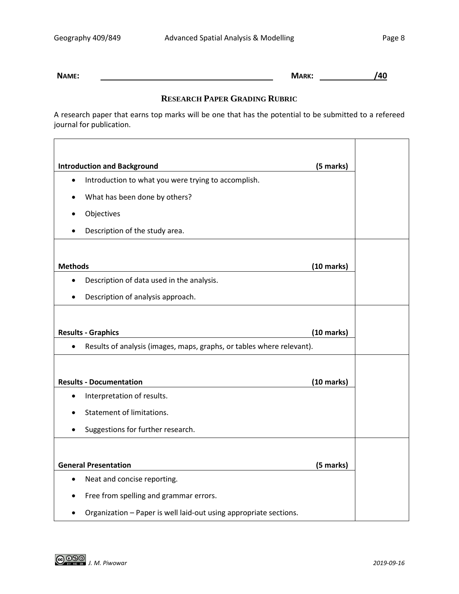$\blacksquare$ 

 $\overline{\phantom{a}}$ 

**NAME: MARK: /40**

### **RESEARCH PAPER GRADING RUBRIC**

A research paper that earns top marks will be one that has the potential to be submitted to a refereed journal for publication.

| <b>Introduction and Background</b>                                                 |                      |  |  |
|------------------------------------------------------------------------------------|----------------------|--|--|
| Introduction to what you were trying to accomplish.<br>$\bullet$                   |                      |  |  |
| What has been done by others?                                                      |                      |  |  |
| Objectives                                                                         |                      |  |  |
| Description of the study area.                                                     |                      |  |  |
|                                                                                    |                      |  |  |
| <b>Methods</b>                                                                     |                      |  |  |
| Description of data used in the analysis.<br>$\bullet$                             |                      |  |  |
| Description of analysis approach.<br>$\bullet$                                     |                      |  |  |
|                                                                                    |                      |  |  |
| <b>Results - Graphics</b>                                                          | $(10 \text{ marks})$ |  |  |
| Results of analysis (images, maps, graphs, or tables where relevant).<br>$\bullet$ |                      |  |  |
|                                                                                    |                      |  |  |
| <b>Results - Documentation</b>                                                     | $(10 \text{ marks})$ |  |  |
| Interpretation of results.<br>$\bullet$                                            |                      |  |  |
| Statement of limitations.                                                          |                      |  |  |
| Suggestions for further research.                                                  |                      |  |  |
|                                                                                    |                      |  |  |
| <b>General Presentation</b><br>(5 marks)                                           |                      |  |  |
| Neat and concise reporting.<br>$\bullet$                                           |                      |  |  |
| Free from spelling and grammar errors.                                             |                      |  |  |
| Organization - Paper is well laid-out using appropriate sections.                  |                      |  |  |